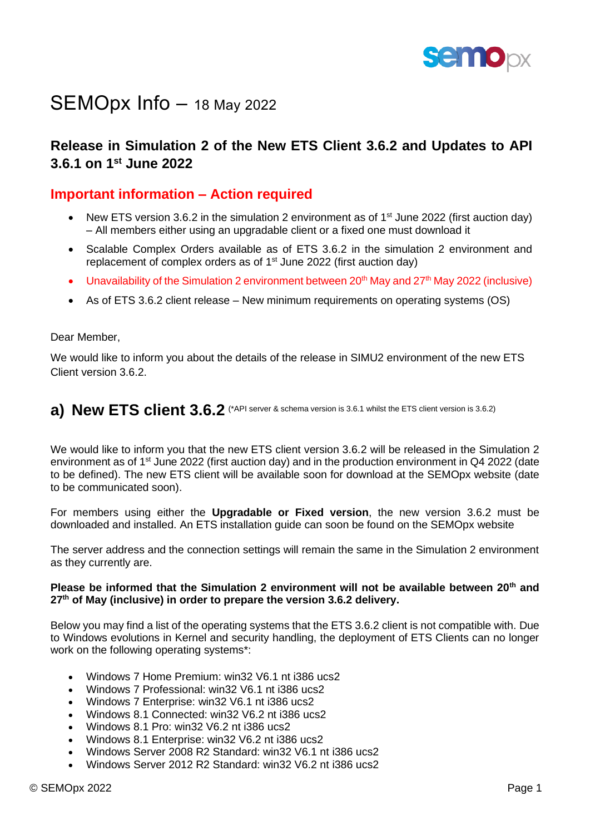

# SEMOpx Info - 18 May 2022

# **Release in Simulation 2 of the New ETS Client 3.6.2 and Updates to API 3.6.1 on 1 st June 2022**

#### **Important information – Action required**

- New ETS version 3.6.2 in the simulation 2 environment as of  $1<sup>st</sup>$  June 2022 (first auction day) – All members either using an upgradable client or a fixed one must download it
- Scalable Complex Orders available as of ETS 3.6.2 in the simulation 2 environment and replacement of complex orders as of  $1<sup>st</sup>$  June 2022 (first auction day)
- Unavailability of the Simulation 2 environment between  $20<sup>th</sup>$  May and  $27<sup>th</sup>$  May 2022 (inclusive)
- As of ETS 3.6.2 client release New minimum requirements on operating systems (OS)

#### Dear Member,

We would like to inform you about the details of the release in SIMU2 environment of the new ETS Client version 3.6.2.

# **a)** New ETS client 3.6.2 (\*API server & schema version is 3.6.1 whilst the ETS client version is 3.6.2)

We would like to inform you that the new ETS client version 3.6.2 will be released in the Simulation 2 environment as of 1<sup>st</sup> June 2022 (first auction day) and in the production environment in Q4 2022 (date to be defined). The new ETS client will be available soon for download at the SEMOpx website (date to be communicated soon).

For members using either the **Upgradable or Fixed version**, the new version 3.6.2 must be downloaded and installed. An ETS installation guide can soon be found on the SEMOpx website

The server address and the connection settings will remain the same in the Simulation 2 environment as they currently are.

#### **Please be informed that the Simulation 2 environment will not be available between 20th and 27th of May (inclusive) in order to prepare the version 3.6.2 delivery.**

Below you may find a list of the operating systems that the ETS 3.6.2 client is not compatible with. Due to Windows evolutions in Kernel and security handling, the deployment of ETS Clients can no longer work on the following operating systems\*:

- Windows 7 Home Premium: win32 V6.1 nt i386 ucs2
- Windows 7 Professional: win32 V6.1 nt i386 ucs2
- Windows 7 Enterprise: win32 V6.1 nt i386 ucs2
- Windows 8.1 Connected: win32 V6.2 nt i386 ucs2
- Windows 8.1 Pro: win32 V6.2 nt i386 ucs2
- Windows 8.1 Enterprise: win32 V6.2 nt i386 ucs2
- Windows Server 2008 R2 Standard: win32 V6.1 nt i386 ucs2
- Windows Server 2012 R2 Standard: win32 V6.2 nt i386 ucs2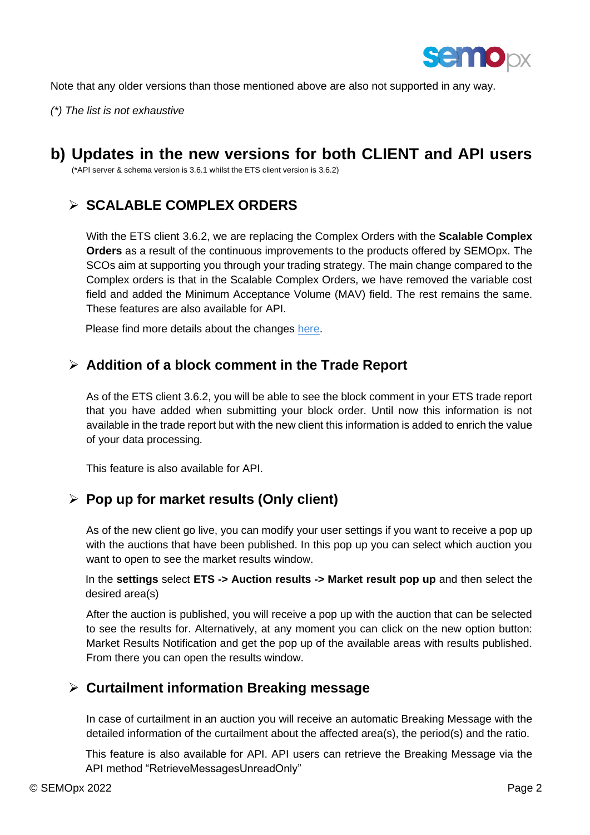

Note that any older versions than those mentioned above are also not supported in any way.

*(\*) The list is not exhaustive* 

# **b) Updates in the new versions for both CLIENT and API users**

(\*API server & schema version is 3.6.1 whilst the ETS client version is 3.6.2)

# ➢ **SCALABLE COMPLEX ORDERS**

With the ETS client 3.6.2, we are replacing the Complex Orders with the **Scalable Complex Orders** as a result of the continuous improvements to the products offered by SEMOpx. The SCOs aim at supporting you through your trading strategy. The main change compared to the Complex orders is that in the Scalable Complex Orders, we have removed the variable cost field and added the Minimum Acceptance Volume (MAV) field. The rest remains the same. These features are also available for API.

Please find more details about the changes [here.](https://www.semopx.com/documents/general-publications/SCO-Project-Meeting-5-4th-February-2022.pdf)

### ➢ **Addition of a block comment in the Trade Report**

As of the ETS client 3.6.2, you will be able to see the block comment in your ETS trade report that you have added when submitting your block order. Until now this information is not available in the trade report but with the new client this information is added to enrich the value of your data processing.

This feature is also available for API.

# ➢ **Pop up for market results (Only client)**

As of the new client go live, you can modify your user settings if you want to receive a pop up with the auctions that have been published. In this pop up you can select which auction you want to open to see the market results window.

In the **settings** select **ETS -> Auction results -> Market result pop up** and then select the desired area(s)

After the auction is published, you will receive a pop up with the auction that can be selected to see the results for. Alternatively, at any moment you can click on the new option button: Market Results Notification and get the pop up of the available areas with results published. From there you can open the results window.

# ➢ **Curtailment information Breaking message**

In case of curtailment in an auction you will receive an automatic Breaking Message with the detailed information of the curtailment about the affected area(s), the period(s) and the ratio.

This feature is also available for API. API users can retrieve the Breaking Message via the API method "RetrieveMessagesUnreadOnly"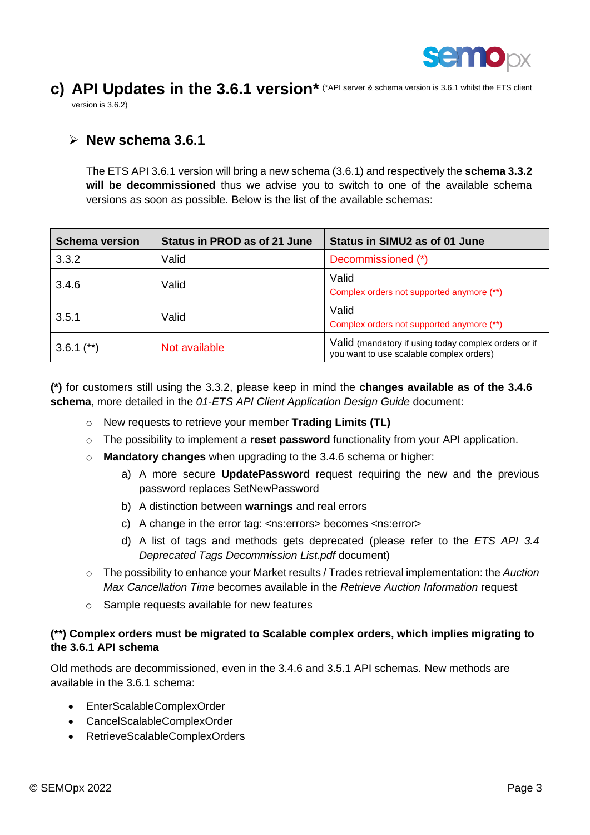

### c) API Updates in the 3.6.1 version\* (\*API server & schema version is 3.6.1 whilst the ETS client version is 3.6.2)

#### ➢ **New schema 3.6.1**

The ETS API 3.6.1 version will bring a new schema (3.6.1) and respectively the **schema 3.3.2 will be decommissioned** thus we advise you to switch to one of the available schema versions as soon as possible. Below is the list of the available schemas:

| <b>Schema version</b> | <b>Status in PROD as of 21 June</b> | Status in SIMU2 as of 01 June                                                                    |
|-----------------------|-------------------------------------|--------------------------------------------------------------------------------------------------|
| 3.3.2                 | Valid                               | Decommissioned (*)                                                                               |
| 3.4.6                 | Valid                               | Valid<br>Complex orders not supported anymore (**)                                               |
| 3.5.1                 | Valid                               | Valid<br>Complex orders not supported anymore (**)                                               |
| $3.6.1$ (**)          | Not available                       | Valid (mandatory if using today complex orders or if<br>you want to use scalable complex orders) |

**(\*)** for customers still using the 3.3.2, please keep in mind the **changes available as of the 3.4.6 schema**, more detailed in the *01-ETS API Client Application Design Guide* document:

- o New requests to retrieve your member **Trading Limits (TL)**
- o The possibility to implement a **reset password** functionality from your API application.
- o **Mandatory changes** when upgrading to the 3.4.6 schema or higher:
	- a) A more secure **UpdatePassword** request requiring the new and the previous password replaces SetNewPassword
	- b) A distinction between **warnings** and real errors
	- c) A change in the error tag: <ns:errors> becomes <ns:error>
	- d) A list of tags and methods gets deprecated (please refer to the *ETS API 3.4 Deprecated Tags Decommission List.pdf* document)
- o The possibility to enhance your Market results / Trades retrieval implementation: the *Auction Max Cancellation Time* becomes available in the *Retrieve Auction Information* request
- o Sample requests available for new features

#### **(\*\*) Complex orders must be migrated to Scalable complex orders, which implies migrating to the 3.6.1 API schema**

Old methods are decommissioned, even in the 3.4.6 and 3.5.1 API schemas. New methods are available in the 3.6.1 schema:

- EnterScalableComplexOrder
- CancelScalableComplexOrder
- RetrieveScalableComplexOrders